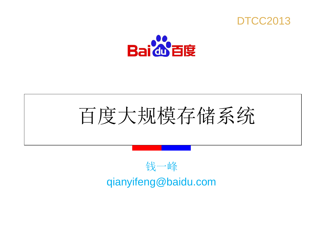



# 百度大规模存储系统

### 钱一峰 qianyifeng@baidu.com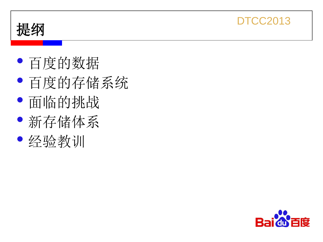

- 
- 百度的存储系统<br>• 百度的存储系统<br>• 面临的挑战<br>• 经验教训
- 
- 
- 

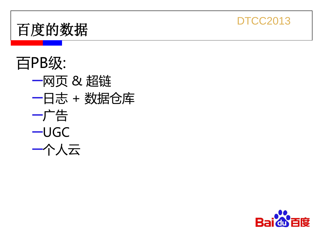



百PB级:<br>—网页 & 超链<br>—日志 + 数据仓库<br>—广告<br>—广告<br>—UGC<br>—个人云

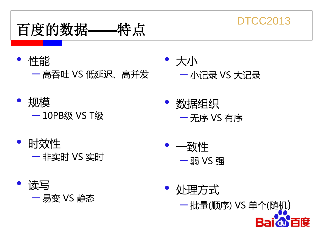

- 性能 – 高吞吐 VS 低延迟、高并发
	- 规模 – 10PB<sup>级</sup> VS T<sup>级</sup>
- 时效性 – 非实时 VS 实时
- 读写 – 易变 VS 静态
- 大小 – 小记录 VS 大记录
	- 数据组织 – 无序 VS 有序
- 一致性 – <sup>弱</sup> VS <sup>强</sup>
- 处理方式

– 批量(顺序) VS 单个(随机) 百度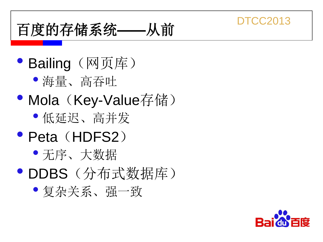## 百度的存储系统**——**从前

- Bailing (网页库)
	- 海量、高吞吐
- Mola (Key-Value存储)
	- 低延迟、高并发
- Peta (HDFS2)
	- 无序、大数据
- DDBS(分布式数据库)
	- 复杂关系、强一致

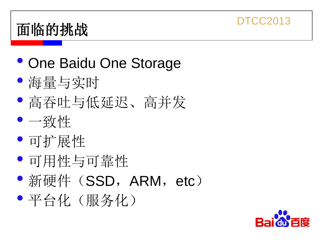## 面临的挑战

- One Baidu One Storage
- 海量与实时
- 高吞吐与低延迟、高并发
- 一致性
- 可扩展性
- 可用性与可靠性
- 新硬件 (SSD, ARM, etc)
- 平台化(服务化)

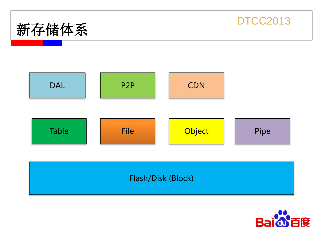







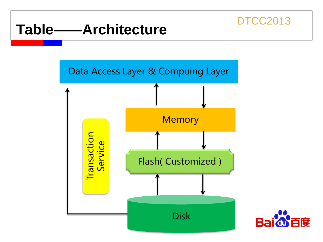### **Table——Architecture**



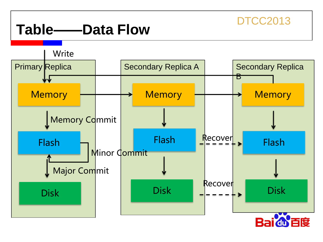### **Table——Data Flow**

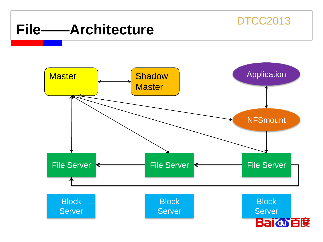## **File——Architecture**

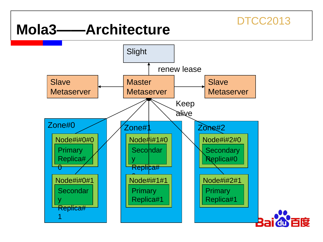### **Mola3——Architecture**

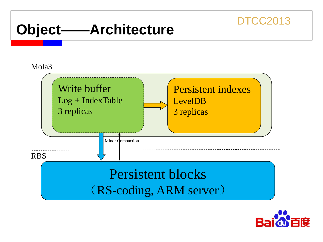### **Object——Architecture**

#### Mola<sub>3</sub>



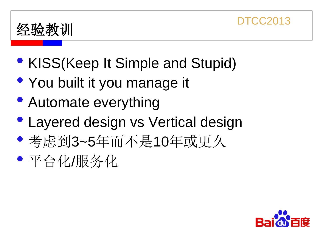

- KISS(Keep It Simple and Stupid)
- You built it you manage it
- Automate everything
- Layered design vs Vertical design
- 考虑到3~5年而不是10年或更久
- 平台化/服务化